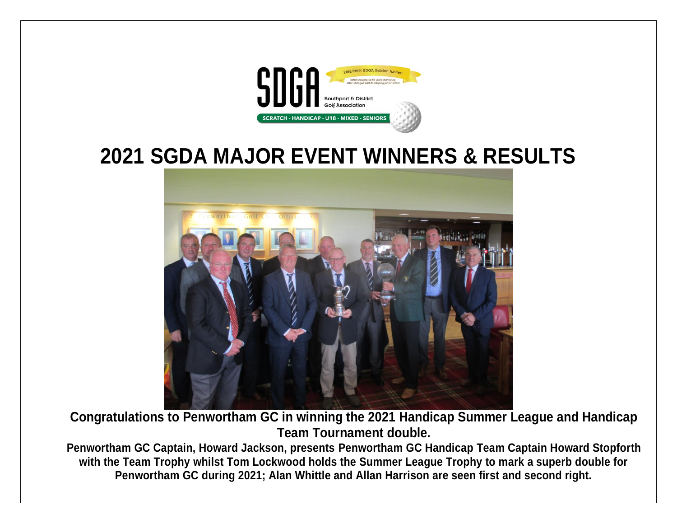

# **2021 SGDA MAJOR EVENT WINNERS & RESULTS**



**Congratulations to Penwortham GC in winning the 2021 Handicap Summer League and Handicap Team Tournament double.**

**Penwortham GC Captain, Howard Jackson, presents Penwortham GC Handicap Team Captain Howard Stopforth with the Team Trophy whilst Tom Lockwood holds the Summer League Trophy to mark a superb double for Penwortham GC during 2021; Alan Whittle and Allan Harrison are seen first and second right.**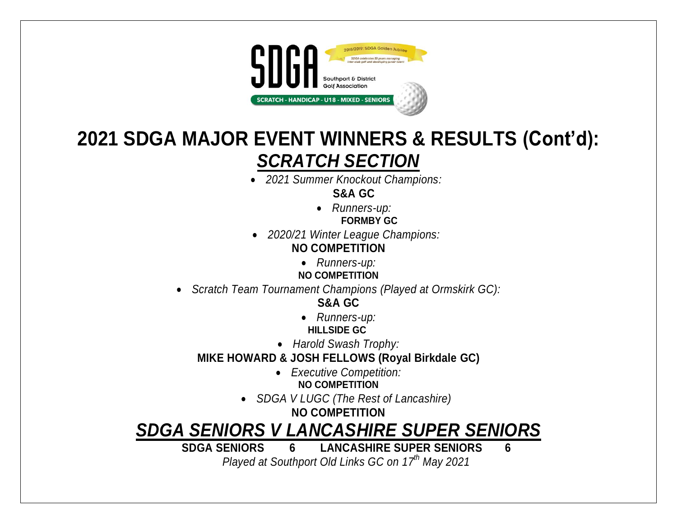

## **2021 SDGA MAJOR EVENT WINNERS & RESULTS (Cont'd):** *SCRATCH SECTION*

*2021 Summer Knockout Champions:*

**S&A GC**

- *Runners-up:* **FORMBY GC**
- *2020/21 Winter League Champions:* **NO COMPETITION**
	- *Runners-up:*
	- **NO COMPETITION**
- *Scratch Team Tournament Champions (Played at Ormskirk GC):*

**S&A GC**

- *Runners-up:*  **HILLSIDE GC**
- *Harold Swash Trophy:*

**MIKE HOWARD & JOSH FELLOWS (Royal Birkdale GC)**

- *Executive Competition:* **NO COMPETITION**
- *SDGA V LUGC (The Rest of Lancashire)* 
	- **NO COMPETITION**

*SDGA SENIORS V LANCASHIRE SUPER SENIORS* 

**SDGA SENIORS 6 LANCASHIRE SUPER SENIORS 6** *Played at Southport Old Links GC on 17 th May 2021*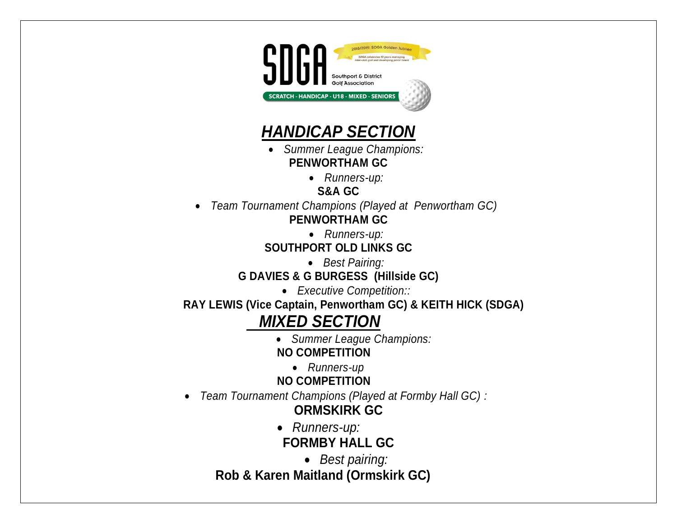